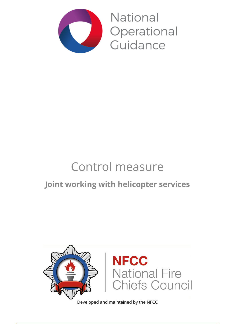

**National** Operational Guidance

# Control measure

# **Joint working with helicopter services**



Developed and maintained by the NFCC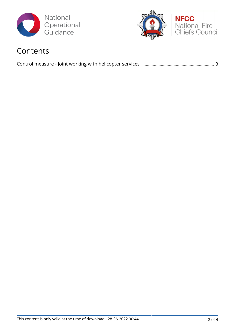



## Contents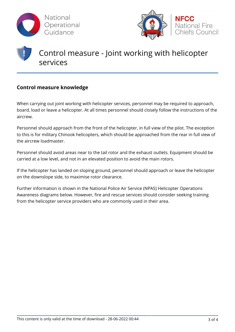



# Control measure - Joint working with helicopter services

#### **Control measure knowledge**

When carrying out joint working with helicopter services, personnel may be required to approach, board, load or leave a helicopter. At all times personnel should closely follow the instructions of the aircrew.

Personnel should approach from the front of the helicopter, in full view of the pilot. The exception to this is for military Chinook helicopters, which should be approached from the rear in full view of the aircrew loadmaster.

Personnel should avoid areas near to the tail rotor and the exhaust outlets. Equipment should be carried at a low level, and not in an elevated position to avoid the main rotors.

If the helicopter has landed on sloping ground, personnel should approach or leave the helicopter on the downslope side, to maximise rotor clearance.

Further information is shown in the National Police Air Service (NPAS) Helicopter Operations Awareness diagrams below. However, fire and rescue services should consider seeking training from the helicopter service providers who are commonly used in their area.